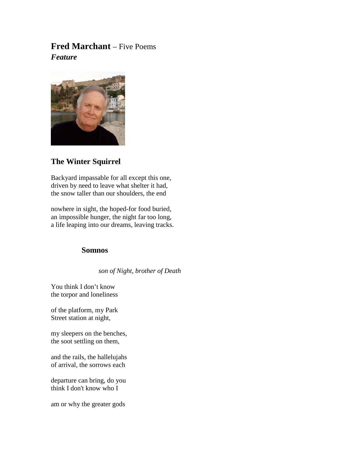# **Fred Marchant** – Five Poems *Feature*



## **The Winter Squirrel**

Backyard impassable for all except this one, driven by need to leave what shelter it had, the snow taller than our shoulders, the end

nowhere in sight, the hoped-for food buried, an impossible hunger, the night far too long, a life leaping into our dreams, leaving tracks.

## **Somnos**

 *son of Night, brother of Death*

You think I don't know the torpor and loneliness

of the platform, my Park Street station at night,

my sleepers on the benches, the soot settling on them,

and the rails, the hallelujahs of arrival, the sorrows each

departure can bring, do you think I don't know who I

am or why the greater gods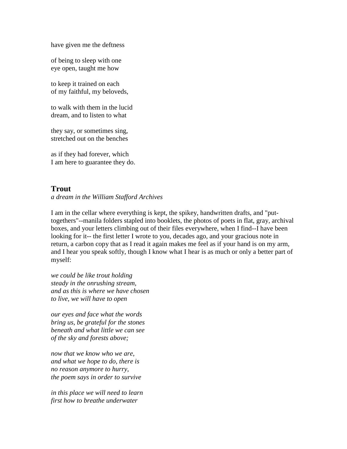have given me the deftness

of being to sleep with one eye open, taught me how

to keep it trained on each of my faithful, my beloveds,

to walk with them in the lucid dream, and to listen to what

they say, or sometimes sing, stretched out on the benches

as if they had forever, which I am here to guarantee they do.

### **Trout**

*a dream in the William Stafford Archives*

I am in the cellar where everything is kept, the spikey, handwritten drafts, and "puttogethers"--manila folders stapled into booklets, the photos of poets in flat, gray, archival boxes, and your letters climbing out of their files everywhere, when I find--I have been looking for it-- the first letter I wrote to you, decades ago, and your gracious note in return, a carbon copy that as I read it again makes me feel as if your hand is on my arm, and I hear you speak softly, though I know what I hear is as much or only a better part of myself:

*we could be like trout holding steady in the onrushing stream, and as this is where we have chosen to live, we will have to open*

*our eyes and face what the words bring us, be grateful for the stones beneath and what little we can see of the sky and forests above;*

*now that we know who we are, and what we hope to do, there is no reason anymore to hurry, the poem says in order to survive*

*in this place we will need to learn first how to breathe underwater*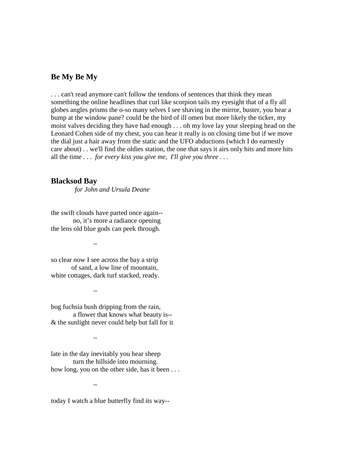### **Be My Be My**

. . . can't read anymore can't follow the tendons of sentences that think they mean something the online headlines that curl like scorpion tails my eyesight that of a fly all globes angles prisms the o-so many selves I see shaving in the mirror, buster, you hear a bump at the window pane? could be the bird of ill omen but more likely the ticker, my moist valves deciding they have had enough . . . oh my love lay your sleeping head on the Leonard Cohen side of my chest, you can hear it really is on closing time but if we move the dial just a hair away from the static and the UFO abductions (which I do earnestly care about) . . we'll find the oldies station, the one that says it airs only hits and more hits all the time . . . *for every kiss you give me, I'll give you three . . .*

#### **Blacksod Bay**

*for John and Ursula Deane*

the swift clouds have parted once again- no, it's more a radiance opening the lens old blue gods can peek through.

 $\sim$ 

so clear now I see across the bay a strip of sand, a low line of mountain, white cottages, dark turf stacked, ready.

 $\sim$ 

bog fuchsia bush dripping from the rain, a flower that knows what beauty is-- & the sunlight never could help but fall for it

 $\sim$ 

late in the day inevitably you hear sheep turn the hillside into mourning. how long, you on the other side, has it been ...

 $\sim$ 

today I watch a blue butterfly find its way--